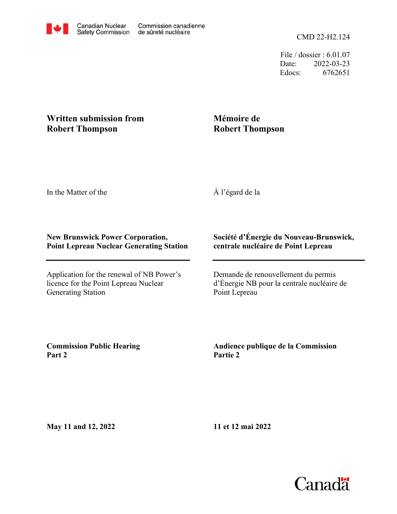File / dossier : 6.01.07 Date: 2022-03-23 Edocs: 6762651

## **Written submission from Robert Thompson**

## **Mémoire de Robert Thompson**

In the Matter of the

À l'égard de la

## **New Brunswick Power Corporation, Point Lepreau Nuclear Generating Station**

Application for the renewal of NB Power's licence for the Point Lepreau Nuclear Generating Station

## **Société d'Énergie du Nouveau-Brunswick, centrale nucléaire de Point Lepreau**

Demande de renouvellement du permis d'Énergie NB pour la centrale nucléaire de Point Lepreau

**Commission Public Hearing Part 2**

**Audience publique de la Commission Partie 2**

**May 11 and 12, 2022**

**11 et 12 mai 2022**

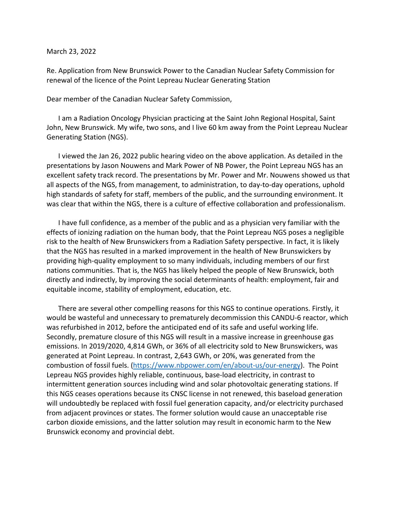March 23, 2022

Re. Application from New Brunswick Power to the Canadian Nuclear Safety Commission for renewal of the licence of the Point Lepreau Nuclear Generating Station

Dear member of the Canadian Nuclear Safety Commission,

I am a Radiation Oncology Physician practicing at the Saint John Regional Hospital, Saint John, New Brunswick. My wife, two sons, and I live 60 km away from the Point Lepreau Nuclear Generating Station (NGS).

I viewed the Jan 26, 2022 public hearing video on the above application. As detailed in the presentations by Jason Nouwens and Mark Power of NB Power, the Point Lepreau NGS has an excellent safety track record. The presentations by Mr. Power and Mr. Nouwens showed us that all aspects of the NGS, from management, to administration, to day-to-day operations, uphold high standards of safety for staff, members of the public, and the surrounding environment. It was clear that within the NGS, there is a culture of effective collaboration and professionalism.

I have full confidence, as a member of the public and as a physician very familiar with the effects of ionizing radiation on the human body, that the Point Lepreau NGS poses a negligible risk to the health of New Brunswickers from a Radiation Safety perspective. In fact, it is likely that the NGS has resulted in a marked improvement in the health of New Brunswickers by providing high-quality employment to so many individuals, including members of our first nations communities. That is, the NGS has likely helped the people of New Brunswick, both directly and indirectly, by improving the social determinants of health: employment, fair and equitable income, stability of employment, education, etc.

There are several other compelling reasons for this NGS to continue operations. Firstly, it would be wasteful and unnecessary to prematurely decommission this CANDU-6 reactor, which was refurbished in 2012, before the anticipated end of its safe and useful working life. Secondly, premature closure of this NGS will result in a massive increase in greenhouse gas emissions. In 2019/2020, 4,814 GWh, or 36% of all electricity sold to New Brunswickers, was generated at Point Lepreau. In contrast, 2,643 GWh, or 20%, was generated from the combustion of fossil fuels. (https://www.nbpower.com/en/about-us/our-energy). The Point Lepreau NGS provides highly reliable, continuous, base-load electricity, in contrast to intermittent generation sources including wind and solar photovoltaic generating stations. If this NGS ceases operations because its CNSC license in not renewed, this baseload generation will undoubtedly be replaced with fossil fuel generation capacity, and/or electricity purchased from adjacent provinces or states. The former solution would cause an unacceptable rise carbon dioxide emissions, and the latter solution may result in economic harm to the New Brunswick economy and provincial debt.